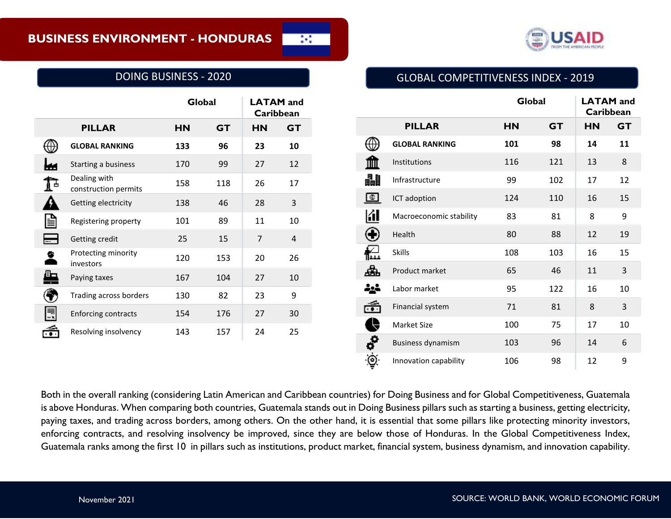

## DOING BUSINESS - 2020

|                                      | Global    |           | <b>LATAM</b> and<br>Caribbean |           |
|--------------------------------------|-----------|-----------|-------------------------------|-----------|
| <b>PILLAR</b>                        | <b>HN</b> | <b>GT</b> | <b>HN</b>                     | <b>GT</b> |
| <b>GLOBAL RANKING</b>                | 133       | 96        | 23                            | 10        |
| Starting a business                  | 170       | 99        | 27                            | 12        |
| Dealing with<br>construction permits | 158       | 118       | 26                            | 17        |
| Getting electricity                  | 138       | 46        | 28                            | 3         |
| Registering property                 | 101       | 89        | 11                            | 10        |
| Getting credit                       | 25        | 15        | $\overline{7}$                | 4         |
| Protecting minority<br>investors     | 120       | 153       | 20                            | 26        |
| Paying taxes                         | 167       | 104       | 27                            | 10        |
| Trading across borders               | 130       | 82        | 23                            | 9         |
| <b>Enforcing contracts</b>           | 154       | 176       | 27                            | 30        |
| Resolving insolvency                 | 143       | 157       | 24                            | 25        |

# GLOBAL COMPETITIVENESS INDEX - 2019

|    |                          | Global    |           | <b>LATAM</b> and<br>Caribbean |           |
|----|--------------------------|-----------|-----------|-------------------------------|-----------|
|    | <b>PILLAR</b>            | <b>HN</b> | <b>GT</b> | <b>HN</b>                     | <b>GT</b> |
|    | <b>GLOBAL RANKING</b>    | 101       | 98        | 14                            | 11        |
|    | Institutions             | 116       | 121       | 13                            | 8         |
| H  | Infrastructure           | 99        | 102       | 17                            | 12        |
| Œ. | ICT adoption             | 124       | 110       | 16                            | 15        |
| KI | Macroeconomic stability  | 83        | 81        | 8                             | 9         |
|    | Health                   | 80        | 88        | 12                            | 19        |
|    | <b>Skills</b>            | 108       | 103       | 16                            | 15        |
|    | Product market           | 65        | 46        | 11                            | 3         |
|    | Labor market             | 95        | 122       | 16                            | 10        |
|    | Financial system         | 71        | 81        | 8                             | 3         |
|    | <b>Market Size</b>       | 100       | 75        | 17                            | 10        |
| ď  | <b>Business dynamism</b> | 103       | 96        | 14                            | 6         |
| ⊚  | Innovation capability    | 106       | 98        | 12                            | 9         |

Both in the overall ranking (considering Latin American and Caribbean countries) for Doing Business and for Global Competitiveness, Guatemala is above Honduras. When comparing both countries, Guatemala stands out in Doing Business pillars such as starting a business, getting electricity, paying taxes, and trading across borders, among others. On the other hand, it is essential that some pillars like protecting minority investors, enforcing contracts, and resolving insolvency be improved, since they are below those of Honduras. In the Global Competitiveness Index, Guatemala ranks among the first 10 in pillars such as institutions, product market, financial system, business dynamism, and innovation capability.

 $\frac{1}{4}$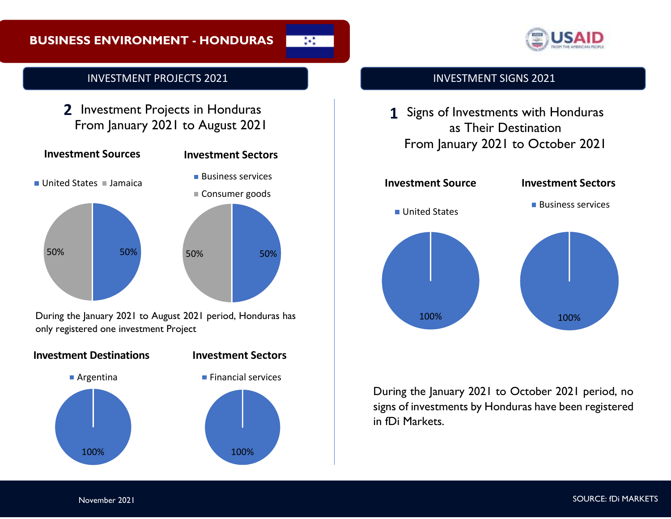# **BUSINESS ENVIRONMENT - HONDURAS**

 $\frac{1}{4}$ 



# INVESTMENT PROJECTS 2021

2 Investment Projects in Honduras From January 2021 to August 2021



During the January 2021 to August 2021 period, Honduras has only registered one investment Project



## INVESTMENT SIGNS 2021

**1** Signs of Investments with Honduras as Their Destination From January 2021 to October 2021



During the January 2021 to October 2021 period, no signs of investments by Honduras have been registered in fDi Markets.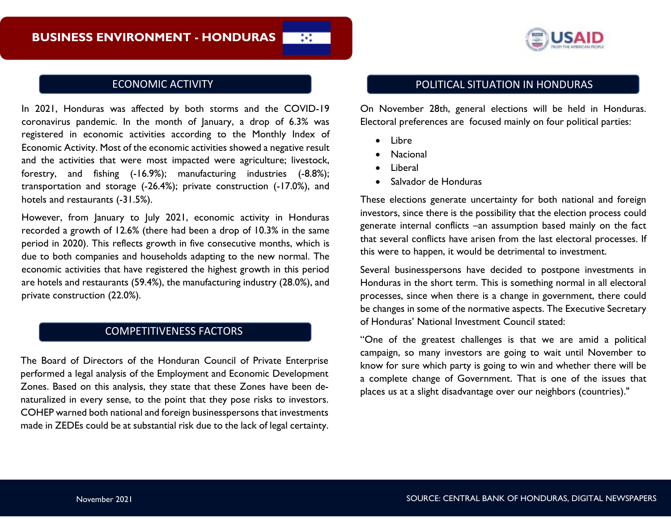

In 2021, Honduras was affected by both storms and the COVID-19 coronavirus pandemic. In the month of January, a drop of 6.3% was registered in economic activities according to the Monthly Index of Economic Activity. Most of the economic activities showed a negative result and the activities that were most impacted were agriculture; livestock, forestry, and fishing (-16.9%); manufacturing industries (-8.8%); transportation and storage (-26.4%); private construction (-17.0%), and hotels and restaurants (-31.5%).

However, from January to July 2021, economic activity in Honduras recorded a growth of 12.6% (there had been a drop of 10.3% in the same period in 2020). This reflects growth in five consecutive months, which is due to both companies and households adapting to the new normal. The economic activities that have registered the highest growth in this period are hotels and restaurants (59.4%), the manufacturing industry (28.0%), and private construction (22.0%).

## COMPETITIVENESS FACTORS

The Board of Directors of the Honduran Council of Private Enterprise performed a legal analysis of the Employment and Economic Development Zones. Based on this analysis, they state that these Zones have been denaturalized in every sense, to the point that they pose risks to investors. COHEP warned both national and foreign businesspersons that investments made in ZEDEs could be at substantial risk due to the lack of legal certainty.

## ECONOMIC ACTIVITY **ECONOMIC ACTIVITY ECONOMIC ACTIVITY**

On November 28th, general elections will be held in Honduras. Electoral preferences are focused mainly on four political parties:

• Libre

ž+ž

- Nacional
- Liberal
- Salvador de Honduras

These elections generate uncertainty for both national and foreign investors, since there is the possibility that the election process could generate internal conflicts –an assumption based mainly on the fact that several conflicts have arisen from the last electoral processes. If this were to happen, it would be detrimental to investment.

Several businesspersons have decided to postpone investments in Honduras in the short term. This is something normal in all electoral processes, since when there is a change in government, there could be changes in some of the normative aspects. The Executive Secretary of Honduras' National Investment Council stated:

"One of the greatest challenges is that we are amid a political campaign, so many investors are going to wait until November to know for sure which party is going to win and whether there will be a complete change of Government. That is one of the issues that places us at a slight disadvantage over our neighbors (countries)."